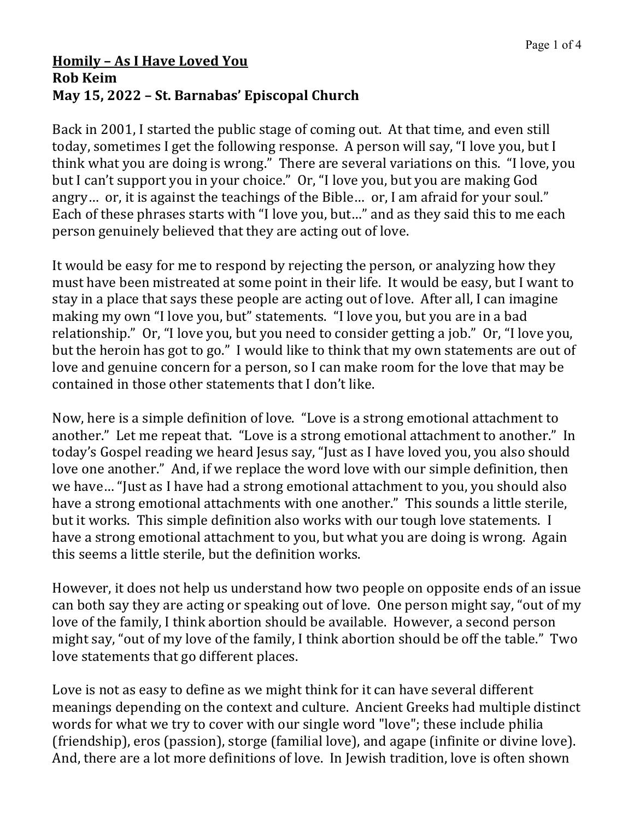## **Homily – As I Have Loved You Rob Keim May 15, 2022 – St. Barnabas' Episcopal Church**

Back in 2001, I started the public stage of coming out. At that time, and even still today, sometimes I get the following response. A person will say, "I love you, but I think what you are doing is wrong." There are several variations on this. "I love, you but I can't support you in your choice." Or, "I love you, but you are making God angry... or, it is against the teachings of the Bible... or, I am afraid for your soul." Each of these phrases starts with "I love you, but..." and as they said this to me each person genuinely believed that they are acting out of love.

It would be easy for me to respond by rejecting the person, or analyzing how they must have been mistreated at some point in their life. It would be easy, but I want to stay in a place that says these people are acting out of love. After all, I can imagine making my own "I love you, but" statements. "I love you, but you are in a bad relationship." Or, "I love you, but you need to consider getting a job." Or, "I love you, but the heroin has got to go." I would like to think that my own statements are out of love and genuine concern for a person, so I can make room for the love that may be contained in those other statements that I don't like.

Now, here is a simple definition of love. "Love is a strong emotional attachment to another." Let me repeat that. "Love is a strong emotional attachment to another." In today's Gospel reading we heard Jesus say, "Just as I have loved you, you also should love one another." And, if we replace the word love with our simple definition, then we have... "Just as I have had a strong emotional attachment to you, you should also have a strong emotional attachments with one another." This sounds a little sterile, but it works. This simple definition also works with our tough love statements. I have a strong emotional attachment to you, but what you are doing is wrong. Again this seems a little sterile, but the definition works.

However, it does not help us understand how two people on opposite ends of an issue can both say they are acting or speaking out of love. One person might say, "out of my love of the family, I think abortion should be available. However, a second person might say, "out of my love of the family, I think abortion should be off the table." Two love statements that go different places.

Love is not as easy to define as we might think for it can have several different meanings depending on the context and culture. Ancient Greeks had multiple distinct words for what we try to cover with our single word "love"; these include philia (friendship), eros (passion), storge (familial love), and agape (infinite or divine love). And, there are a lot more definitions of love. In Jewish tradition, love is often shown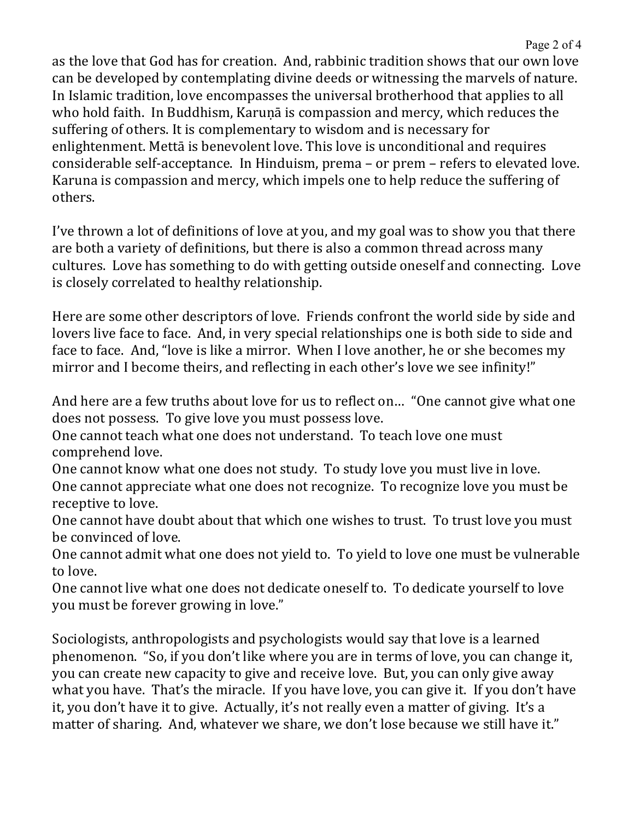as the love that God has for creation. And, rabbinic tradition shows that our own love can be developed by contemplating divine deeds or witnessing the marvels of nature. In Islamic tradition, love encompasses the universal brotherhood that applies to all who hold faith. In Buddhism, Karuṇā is compassion and mercy, which reduces the suffering of others. It is complementary to wisdom and is necessary for enlightenment. Mettā is benevolent love. This love is unconditional and requires considerable self-acceptance. In Hinduism, prema - or prem - refers to elevated love. Karuna is compassion and mercy, which impels one to help reduce the suffering of others. 

I've thrown a lot of definitions of love at you, and my goal was to show you that there are both a variety of definitions, but there is also a common thread across many cultures. Love has something to do with getting outside oneself and connecting. Love is closely correlated to healthy relationship.

Here are some other descriptors of love. Friends confront the world side by side and lovers live face to face. And, in very special relationships one is both side to side and face to face. And, "love is like a mirror. When I love another, he or she becomes my mirror and I become theirs, and reflecting in each other's love we see infinity!"

And here are a few truths about love for us to reflect on... "One cannot give what one does not possess. To give love you must possess love.

One cannot teach what one does not understand. To teach love one must comprehend love.

One cannot know what one does not study. To study love you must live in love. One cannot appreciate what one does not recognize. To recognize love you must be receptive to love.

One cannot have doubt about that which one wishes to trust. To trust love you must be convinced of love.

One cannot admit what one does not yield to. To yield to love one must be vulnerable to love.

One cannot live what one does not dedicate oneself to. To dedicate yourself to love you must be forever growing in love."

Sociologists, anthropologists and psychologists would say that love is a learned phenomenon. "So, if you don't like where you are in terms of love, you can change it, you can create new capacity to give and receive love. But, you can only give away what you have. That's the miracle. If you have love, you can give it. If you don't have it, you don't have it to give. Actually, it's not really even a matter of giving. It's a matter of sharing. And, whatever we share, we don't lose because we still have it."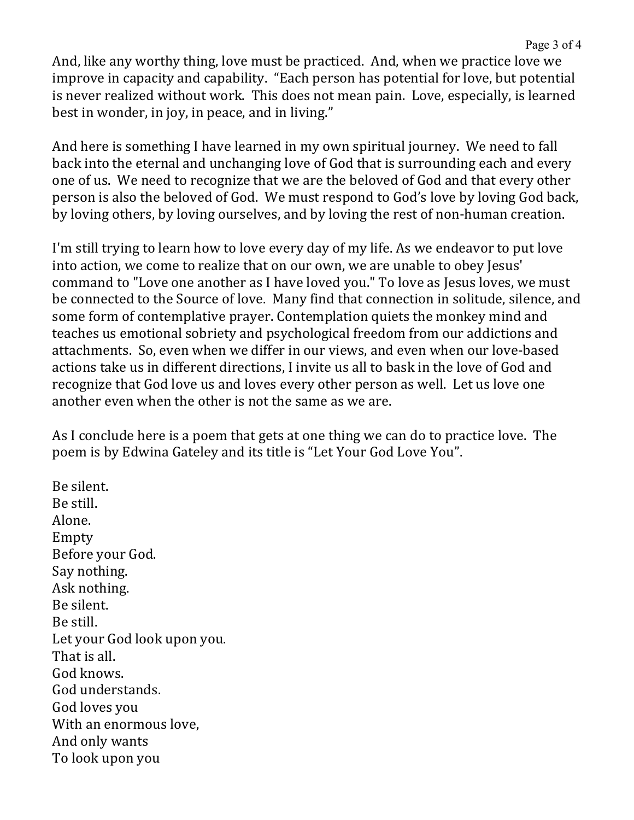And, like any worthy thing, love must be practiced. And, when we practice love we improve in capacity and capability. "Each person has potential for love, but potential is never realized without work. This does not mean pain. Love, especially, is learned best in wonder, in joy, in peace, and in living."

And here is something I have learned in my own spiritual journey. We need to fall back into the eternal and unchanging love of God that is surrounding each and every one of us. We need to recognize that we are the beloved of God and that every other person is also the beloved of God. We must respond to God's love by loving God back, by loving others, by loving ourselves, and by loving the rest of non-human creation.

I'm still trying to learn how to love every day of my life. As we endeavor to put love into action, we come to realize that on our own, we are unable to obey Jesus' command to "Love one another as I have loved you." To love as Jesus loves, we must be connected to the Source of love. Many find that connection in solitude, silence, and some form of contemplative prayer. Contemplation quiets the monkey mind and teaches us emotional sobriety and psychological freedom from our addictions and attachments. So, even when we differ in our views, and even when our love-based actions take us in different directions, I invite us all to bask in the love of God and recognize that God love us and loves every other person as well. Let us love one another even when the other is not the same as we are.

As I conclude here is a poem that gets at one thing we can do to practice love. The poem is by Edwina Gateley and its title is "Let Your God Love You".

Be silent. Be still. Alone. Empty Before your God. Say nothing. Ask nothing. Be silent. Be still. Let your God look upon you. That is all. God knows. God understands. God loves you With an enormous love, And only wants To look upon you